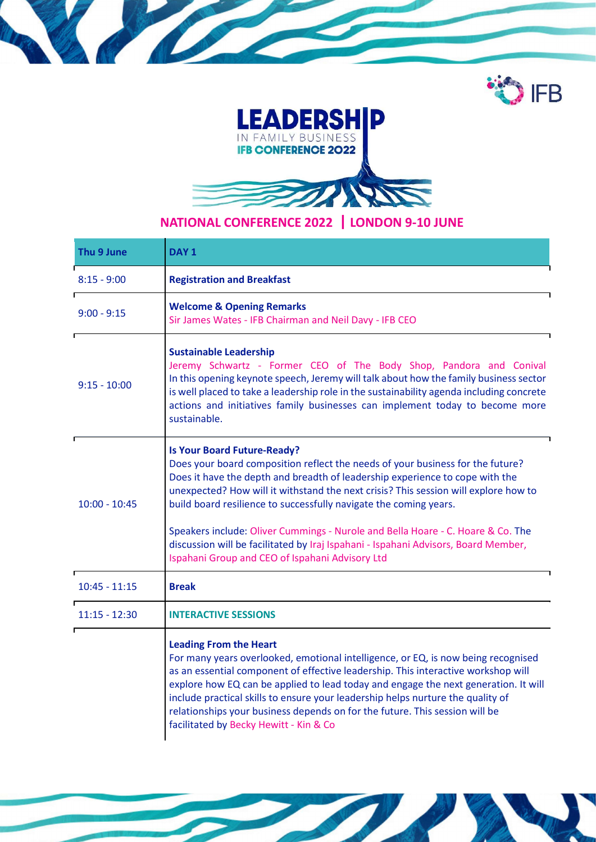



## NATIONAL CONFERENCE 2022 ┃LONDON 9-10 JUNE

| Thu 9 June      | DAY <sub>1</sub>                                                                                                                                                                                                                                                                                                                                                                                                                                                                                                                                                                             |  |
|-----------------|----------------------------------------------------------------------------------------------------------------------------------------------------------------------------------------------------------------------------------------------------------------------------------------------------------------------------------------------------------------------------------------------------------------------------------------------------------------------------------------------------------------------------------------------------------------------------------------------|--|
| $8:15 - 9:00$   | <b>Registration and Breakfast</b>                                                                                                                                                                                                                                                                                                                                                                                                                                                                                                                                                            |  |
| $9:00 - 9:15$   | <b>Welcome &amp; Opening Remarks</b><br>Sir James Wates - IFB Chairman and Neil Davy - IFB CEO                                                                                                                                                                                                                                                                                                                                                                                                                                                                                               |  |
| $9:15 - 10:00$  | <b>Sustainable Leadership</b><br>Jeremy Schwartz - Former CEO of The Body Shop, Pandora and Conival<br>In this opening keynote speech, Jeremy will talk about how the family business sector<br>is well placed to take a leadership role in the sustainability agenda including concrete<br>actions and initiatives family businesses can implement today to become more<br>sustainable.                                                                                                                                                                                                     |  |
| $10:00 - 10:45$ | <b>Is Your Board Future-Ready?</b><br>Does your board composition reflect the needs of your business for the future?<br>Does it have the depth and breadth of leadership experience to cope with the<br>unexpected? How will it withstand the next crisis? This session will explore how to<br>build board resilience to successfully navigate the coming years.<br>Speakers include: Oliver Cummings - Nurole and Bella Hoare - C. Hoare & Co. The<br>discussion will be facilitated by Iraj Ispahani - Ispahani Advisors, Board Member,<br>Ispahani Group and CEO of Ispahani Advisory Ltd |  |
| $10:45 - 11:15$ | <b>Break</b>                                                                                                                                                                                                                                                                                                                                                                                                                                                                                                                                                                                 |  |
| $11:15 - 12:30$ | <b>INTERACTIVE SESSIONS</b>                                                                                                                                                                                                                                                                                                                                                                                                                                                                                                                                                                  |  |
|                 | <b>Leading From the Heart</b><br>For many years overlooked, emotional intelligence, or EQ, is now being recognised<br>as an essential component of effective leadership. This interactive workshop will<br>explore how EQ can be applied to lead today and engage the next generation. It will<br>include practical skills to ensure your leadership helps nurture the quality of<br>relationships your business depends on for the future. This session will be<br>facilitated by Becky Hewitt - Kin & Co                                                                                   |  |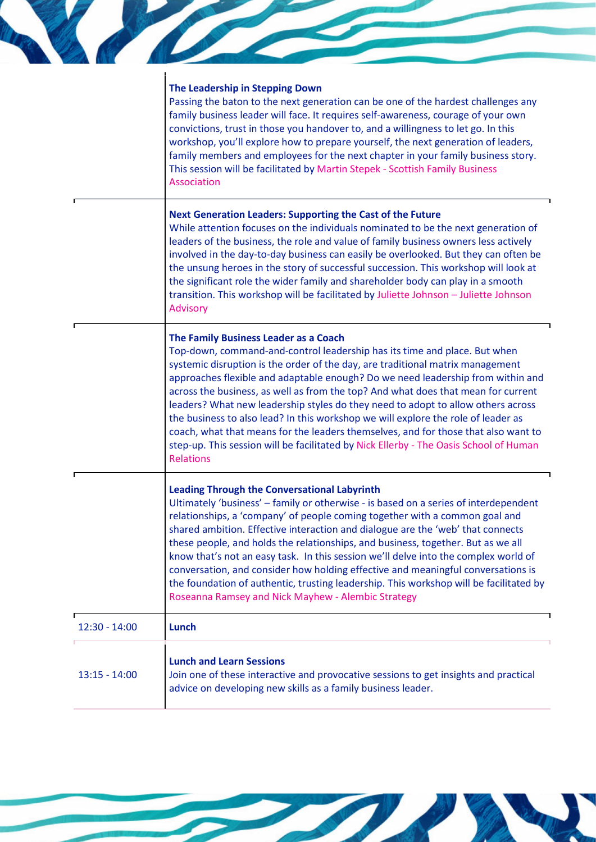|                 | The Leadership in Stepping Down                                                                                                                                                 |
|-----------------|---------------------------------------------------------------------------------------------------------------------------------------------------------------------------------|
|                 | Passing the baton to the next generation can be one of the hardest challenges any                                                                                               |
|                 | family business leader will face. It requires self-awareness, courage of your own<br>convictions, trust in those you handover to, and a willingness to let go. In this          |
|                 | workshop, you'll explore how to prepare yourself, the next generation of leaders,                                                                                               |
|                 | family members and employees for the next chapter in your family business story.<br>This session will be facilitated by Martin Stepek - Scottish Family Business<br>Association |
|                 | <b>Next Generation Leaders: Supporting the Cast of the Future</b>                                                                                                               |
|                 | While attention focuses on the individuals nominated to be the next generation of<br>leaders of the business, the role and value of family business owners less actively        |
|                 | involved in the day-to-day business can easily be overlooked. But they can often be<br>the unsung heroes in the story of successful succession. This workshop will look at      |
|                 | the significant role the wider family and shareholder body can play in a smooth                                                                                                 |
|                 | transition. This workshop will be facilitated by Juliette Johnson - Juliette Johnson<br>Advisory                                                                                |
|                 | The Family Business Leader as a Coach                                                                                                                                           |
|                 | Top-down, command-and-control leadership has its time and place. But when<br>systemic disruption is the order of the day, are traditional matrix management                     |
|                 | approaches flexible and adaptable enough? Do we need leadership from within and                                                                                                 |
|                 | across the business, as well as from the top? And what does that mean for current<br>leaders? What new leadership styles do they need to adopt to allow others across           |
|                 | the business to also lead? In this workshop we will explore the role of leader as<br>coach, what that means for the leaders themselves, and for those that also want to         |
|                 | step-up. This session will be facilitated by Nick Ellerby - The Oasis School of Human<br><b>Relations</b>                                                                       |
|                 | <b>Leading Through the Conversational Labyrinth</b>                                                                                                                             |
|                 | Ultimately 'business' - family or otherwise - is based on a series of interdependent<br>relationships, a 'company' of people coming together with a common goal and             |
|                 | shared ambition. Effective interaction and dialogue are the 'web' that connects                                                                                                 |
|                 | these people, and holds the relationships, and business, together. But as we all<br>know that's not an easy task. In this session we'll delve into the complex world of         |
|                 | conversation, and consider how holding effective and meaningful conversations is                                                                                                |
|                 | the foundation of authentic, trusting leadership. This workshop will be facilitated by<br>Roseanna Ramsey and Nick Mayhew - Alembic Strategy                                    |
| $12:30 - 14:00$ | Lunch                                                                                                                                                                           |
|                 | <b>Lunch and Learn Sessions</b>                                                                                                                                                 |
| $13:15 - 14:00$ | Join one of these interactive and provocative sessions to get insights and practical<br>advice on developing new skills as a family business leader.                            |

The Committee of the Committee of the Committee of the Committee of the Committee of the Committee of the Committee of the Committee of the Committee of the Committee of the Committee of the Committee of the Committee of t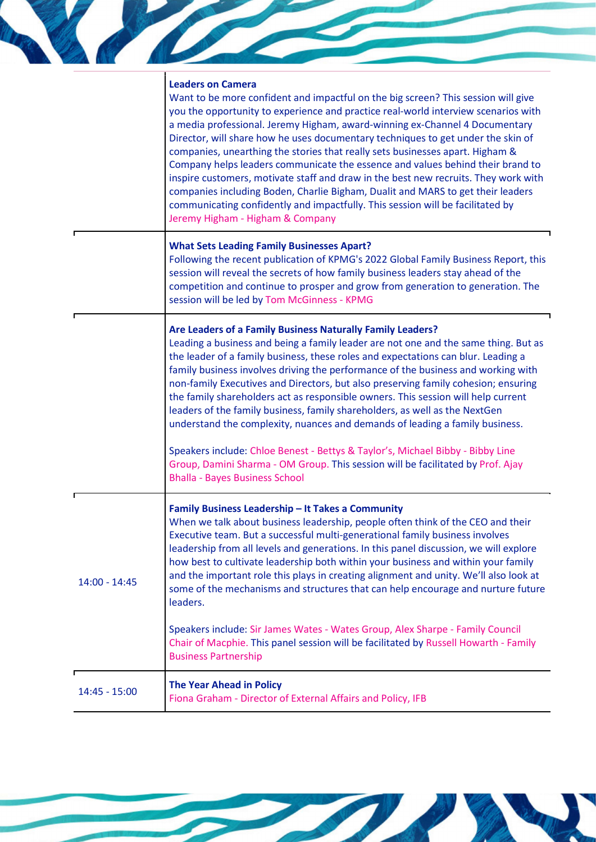|                 | <b>Leaders on Camera</b>                                                                                                                                                                                                                                                                                                                                                                                                                                                                                                                                                                                                                                                                                                                                                                                      |
|-----------------|---------------------------------------------------------------------------------------------------------------------------------------------------------------------------------------------------------------------------------------------------------------------------------------------------------------------------------------------------------------------------------------------------------------------------------------------------------------------------------------------------------------------------------------------------------------------------------------------------------------------------------------------------------------------------------------------------------------------------------------------------------------------------------------------------------------|
|                 | Want to be more confident and impactful on the big screen? This session will give<br>you the opportunity to experience and practice real-world interview scenarios with<br>a media professional. Jeremy Higham, award-winning ex-Channel 4 Documentary<br>Director, will share how he uses documentary techniques to get under the skin of<br>companies, unearthing the stories that really sets businesses apart. Higham &<br>Company helps leaders communicate the essence and values behind their brand to<br>inspire customers, motivate staff and draw in the best new recruits. They work with<br>companies including Boden, Charlie Bigham, Dualit and MARS to get their leaders<br>communicating confidently and impactfully. This session will be facilitated by<br>Jeremy Higham - Higham & Company |
|                 | <b>What Sets Leading Family Businesses Apart?</b><br>Following the recent publication of KPMG's 2022 Global Family Business Report, this<br>session will reveal the secrets of how family business leaders stay ahead of the<br>competition and continue to prosper and grow from generation to generation. The<br>session will be led by Tom McGinness - KPMG                                                                                                                                                                                                                                                                                                                                                                                                                                                |
|                 | Are Leaders of a Family Business Naturally Family Leaders?<br>Leading a business and being a family leader are not one and the same thing. But as<br>the leader of a family business, these roles and expectations can blur. Leading a<br>family business involves driving the performance of the business and working with<br>non-family Executives and Directors, but also preserving family cohesion; ensuring<br>the family shareholders act as responsible owners. This session will help current<br>leaders of the family business, family shareholders, as well as the NextGen<br>understand the complexity, nuances and demands of leading a family business.                                                                                                                                         |
|                 | Speakers include: Chloe Benest - Bettys & Taylor's, Michael Bibby - Bibby Line<br>Group, Damini Sharma - OM Group. This session will be facilitated by Prof. Ajay<br><b>Bhalla - Bayes Business School</b>                                                                                                                                                                                                                                                                                                                                                                                                                                                                                                                                                                                                    |
| $14:00 - 14:45$ | Family Business Leadership - It Takes a Community<br>When we talk about business leadership, people often think of the CEO and their<br>Executive team. But a successful multi-generational family business involves<br>leadership from all levels and generations. In this panel discussion, we will explore<br>how best to cultivate leadership both within your business and within your family<br>and the important role this plays in creating alignment and unity. We'll also look at<br>some of the mechanisms and structures that can help encourage and nurture future<br>leaders.                                                                                                                                                                                                                   |
|                 | Speakers include: Sir James Wates - Wates Group, Alex Sharpe - Family Council<br>Chair of Macphie. This panel session will be facilitated by Russell Howarth - Family<br><b>Business Partnership</b>                                                                                                                                                                                                                                                                                                                                                                                                                                                                                                                                                                                                          |
| $14:45 - 15:00$ | <b>The Year Ahead in Policy</b><br>Fiona Graham - Director of External Affairs and Policy, IFB                                                                                                                                                                                                                                                                                                                                                                                                                                                                                                                                                                                                                                                                                                                |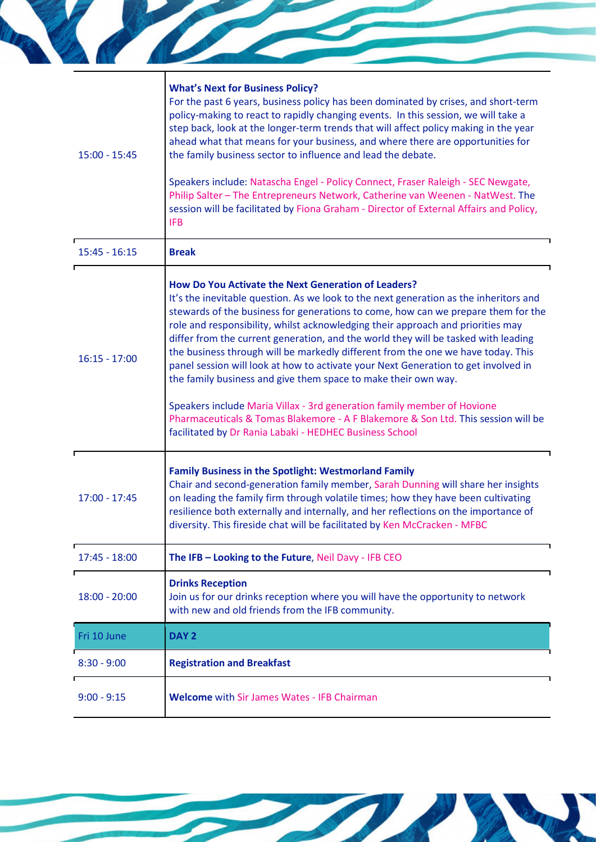| $15:00 - 15:45$ | <b>What's Next for Business Policy?</b><br>For the past 6 years, business policy has been dominated by crises, and short-term                                                                                                                                                                                                                                                                                                                                                                                                                                                                                                                          |
|-----------------|--------------------------------------------------------------------------------------------------------------------------------------------------------------------------------------------------------------------------------------------------------------------------------------------------------------------------------------------------------------------------------------------------------------------------------------------------------------------------------------------------------------------------------------------------------------------------------------------------------------------------------------------------------|
|                 | policy-making to react to rapidly changing events. In this session, we will take a<br>step back, look at the longer-term trends that will affect policy making in the year<br>ahead what that means for your business, and where there are opportunities for<br>the family business sector to influence and lead the debate.                                                                                                                                                                                                                                                                                                                           |
|                 | Speakers include: Natascha Engel - Policy Connect, Fraser Raleigh - SEC Newgate,<br>Philip Salter - The Entrepreneurs Network, Catherine van Weenen - NatWest. The<br>session will be facilitated by Fiona Graham - Director of External Affairs and Policy,<br><b>IFB</b>                                                                                                                                                                                                                                                                                                                                                                             |
| $15:45 - 16:15$ | <b>Break</b>                                                                                                                                                                                                                                                                                                                                                                                                                                                                                                                                                                                                                                           |
| $16:15 - 17:00$ | How Do You Activate the Next Generation of Leaders?<br>It's the inevitable question. As we look to the next generation as the inheritors and<br>stewards of the business for generations to come, how can we prepare them for the<br>role and responsibility, whilst acknowledging their approach and priorities may<br>differ from the current generation, and the world they will be tasked with leading<br>the business through will be markedly different from the one we have today. This<br>panel session will look at how to activate your Next Generation to get involved in<br>the family business and give them space to make their own way. |
|                 | Speakers include Maria Villax - 3rd generation family member of Hovione<br>Pharmaceuticals & Tomas Blakemore - A F Blakemore & Son Ltd. This session will be<br>facilitated by Dr Rania Labaki - HEDHEC Business School                                                                                                                                                                                                                                                                                                                                                                                                                                |
| $17:00 - 17:45$ | <b>Family Business in the Spotlight: Westmorland Family</b><br>Chair and second-generation family member, Sarah Dunning will share her insights<br>on leading the family firm through volatile times; how they have been cultivating<br>resilience both externally and internally, and her reflections on the importance of<br>diversity. This fireside chat will be facilitated by Ken McCracken - MFBC                                                                                                                                                                                                                                               |
| $17:45 - 18:00$ | The IFB - Looking to the Future, Neil Davy - IFB CEO                                                                                                                                                                                                                                                                                                                                                                                                                                                                                                                                                                                                   |
| $18:00 - 20:00$ | <b>Drinks Reception</b><br>Join us for our drinks reception where you will have the opportunity to network<br>with new and old friends from the IFB community.                                                                                                                                                                                                                                                                                                                                                                                                                                                                                         |
| Fri 10 June     | DAY <sub>2</sub>                                                                                                                                                                                                                                                                                                                                                                                                                                                                                                                                                                                                                                       |
| $8:30 - 9:00$   | <b>Registration and Breakfast</b>                                                                                                                                                                                                                                                                                                                                                                                                                                                                                                                                                                                                                      |
|                 |                                                                                                                                                                                                                                                                                                                                                                                                                                                                                                                                                                                                                                                        |
| $9:00 - 9:15$   | <b>Welcome</b> with Sir James Wates - IFB Chairman                                                                                                                                                                                                                                                                                                                                                                                                                                                                                                                                                                                                     |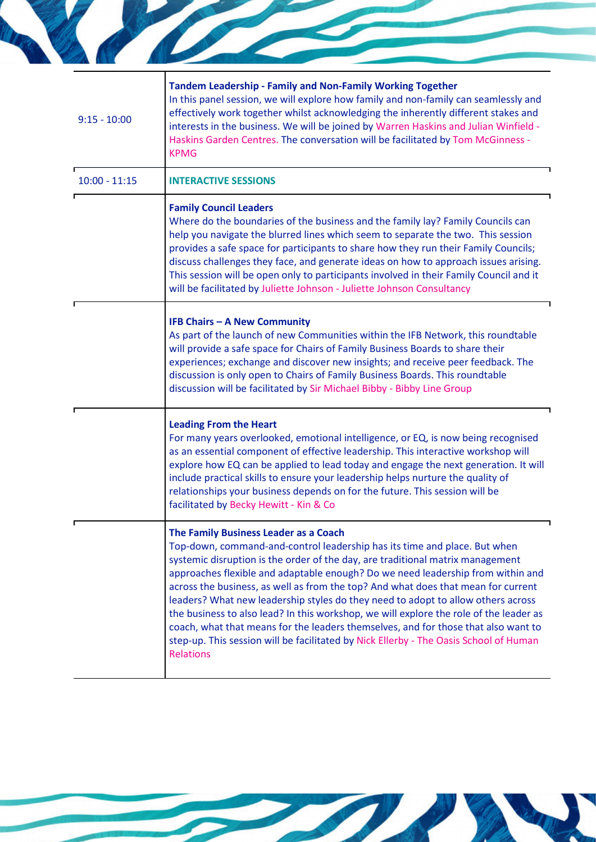| $9:15 - 10:00$  | Tandem Leadership - Family and Non-Family Working Together<br>In this panel session, we will explore how family and non-family can seamlessly and<br>effectively work together whilst acknowledging the inherently different stakes and<br>interests in the business. We will be joined by Warren Haskins and Julian Winfield -<br>Haskins Garden Centres. The conversation will be facilitated by Tom McGinness -<br><b>KPMG</b>                                                                                                                                                                                                                                                                                                                             |
|-----------------|---------------------------------------------------------------------------------------------------------------------------------------------------------------------------------------------------------------------------------------------------------------------------------------------------------------------------------------------------------------------------------------------------------------------------------------------------------------------------------------------------------------------------------------------------------------------------------------------------------------------------------------------------------------------------------------------------------------------------------------------------------------|
| $10:00 - 11:15$ | <b>INTERACTIVE SESSIONS</b>                                                                                                                                                                                                                                                                                                                                                                                                                                                                                                                                                                                                                                                                                                                                   |
|                 | <b>Family Council Leaders</b><br>Where do the boundaries of the business and the family lay? Family Councils can<br>help you navigate the blurred lines which seem to separate the two. This session<br>provides a safe space for participants to share how they run their Family Councils;<br>discuss challenges they face, and generate ideas on how to approach issues arising.<br>This session will be open only to participants involved in their Family Council and it<br>will be facilitated by Juliette Johnson - Juliette Johnson Consultancy                                                                                                                                                                                                        |
|                 | <b>IFB Chairs - A New Community</b><br>As part of the launch of new Communities within the IFB Network, this roundtable<br>will provide a safe space for Chairs of Family Business Boards to share their<br>experiences; exchange and discover new insights; and receive peer feedback. The<br>discussion is only open to Chairs of Family Business Boards. This roundtable<br>discussion will be facilitated by Sir Michael Bibby - Bibby Line Group                                                                                                                                                                                                                                                                                                         |
|                 | <b>Leading From the Heart</b><br>For many years overlooked, emotional intelligence, or EQ, is now being recognised<br>as an essential component of effective leadership. This interactive workshop will<br>explore how EQ can be applied to lead today and engage the next generation. It will<br>include practical skills to ensure your leadership helps nurture the quality of<br>relationships your business depends on for the future. This session will be<br>facilitated by Becky Hewitt - Kin & Co                                                                                                                                                                                                                                                    |
|                 | The Family Business Leader as a Coach<br>Top-down, command-and-control leadership has its time and place. But when<br>systemic disruption is the order of the day, are traditional matrix management<br>approaches flexible and adaptable enough? Do we need leadership from within and<br>across the business, as well as from the top? And what does that mean for current<br>leaders? What new leadership styles do they need to adopt to allow others across<br>the business to also lead? In this workshop, we will explore the role of the leader as<br>coach, what that means for the leaders themselves, and for those that also want to<br>step-up. This session will be facilitated by Nick Ellerby - The Oasis School of Human<br><b>Relations</b> |